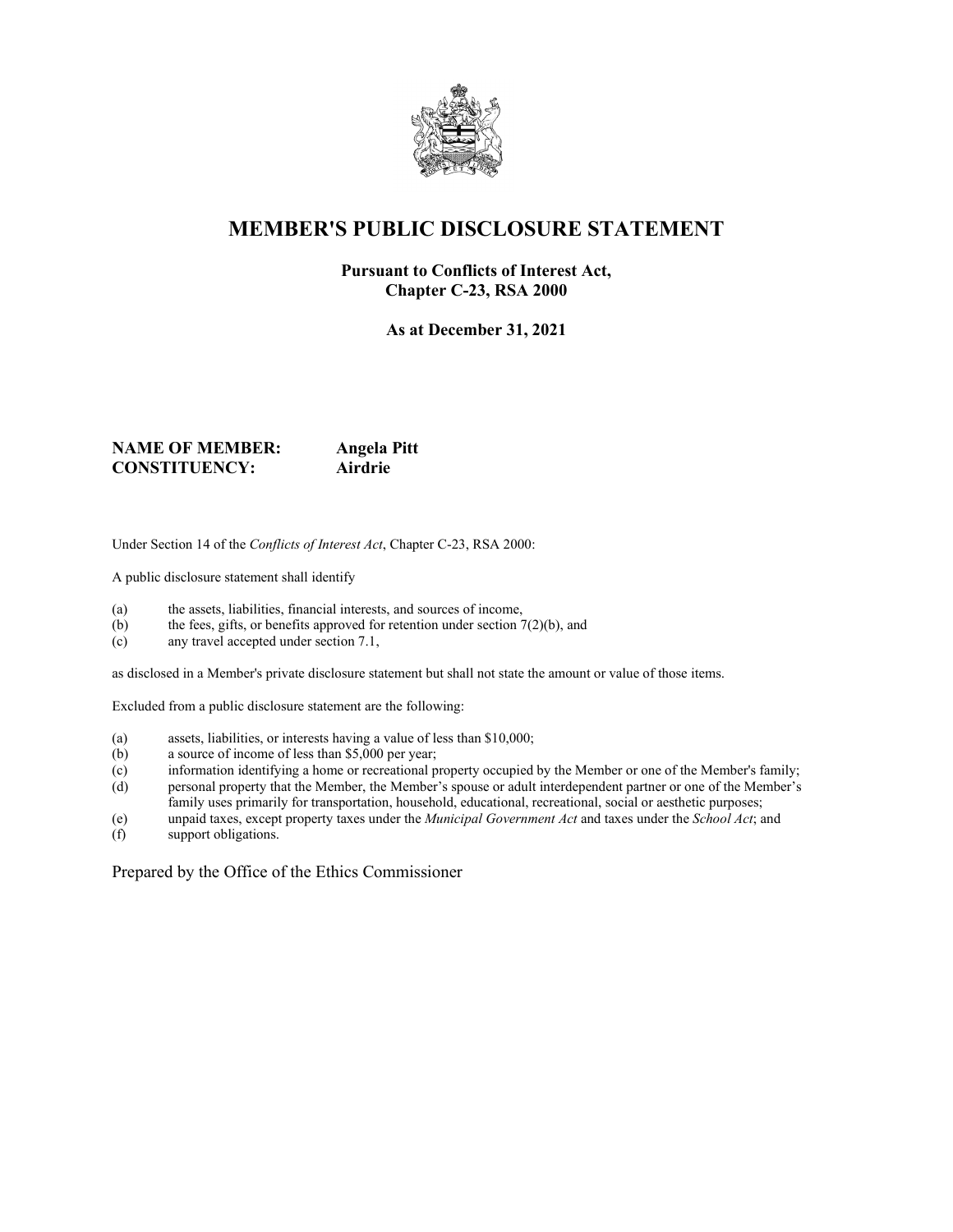

## **MEMBER'S PUBLIC DISCLOSURE STATEMENT**

#### **Pursuant to Conflicts of Interest Act, Chapter C-23, RSA 2000**

**As at December 31, 2021**

#### **NAME OF MEMBER:** Angela Pitt<br> **CONSTITUENCY:** Airdrie **CONSTITUENCY: Airdrie**

Under Section 14 of the *Conflicts of Interest Act*, Chapter C-23, RSA 2000:

A public disclosure statement shall identify

- (a) the assets, liabilities, financial interests, and sources of income,
- (b) the fees, gifts, or benefits approved for retention under section  $7(2)(b)$ , and
- (c) any travel accepted under section 7.1,

as disclosed in a Member's private disclosure statement but shall not state the amount or value of those items.

Excluded from a public disclosure statement are the following:

- (a) assets, liabilities, or interests having a value of less than \$10,000;
- (b) a source of income of less than \$5,000 per year;
- (c) information identifying a home or recreational property occupied by the Member or one of the Member's family;
- (d) personal property that the Member, the Member's spouse or adult interdependent partner or one of the Member's family uses primarily for transportation, household, educational, recreational, social or aesthetic purposes;
- (e) unpaid taxes, except property taxes under the *Municipal Government Act* and taxes under the *School Act*; and
- support obligations.

Prepared by the Office of the Ethics Commissioner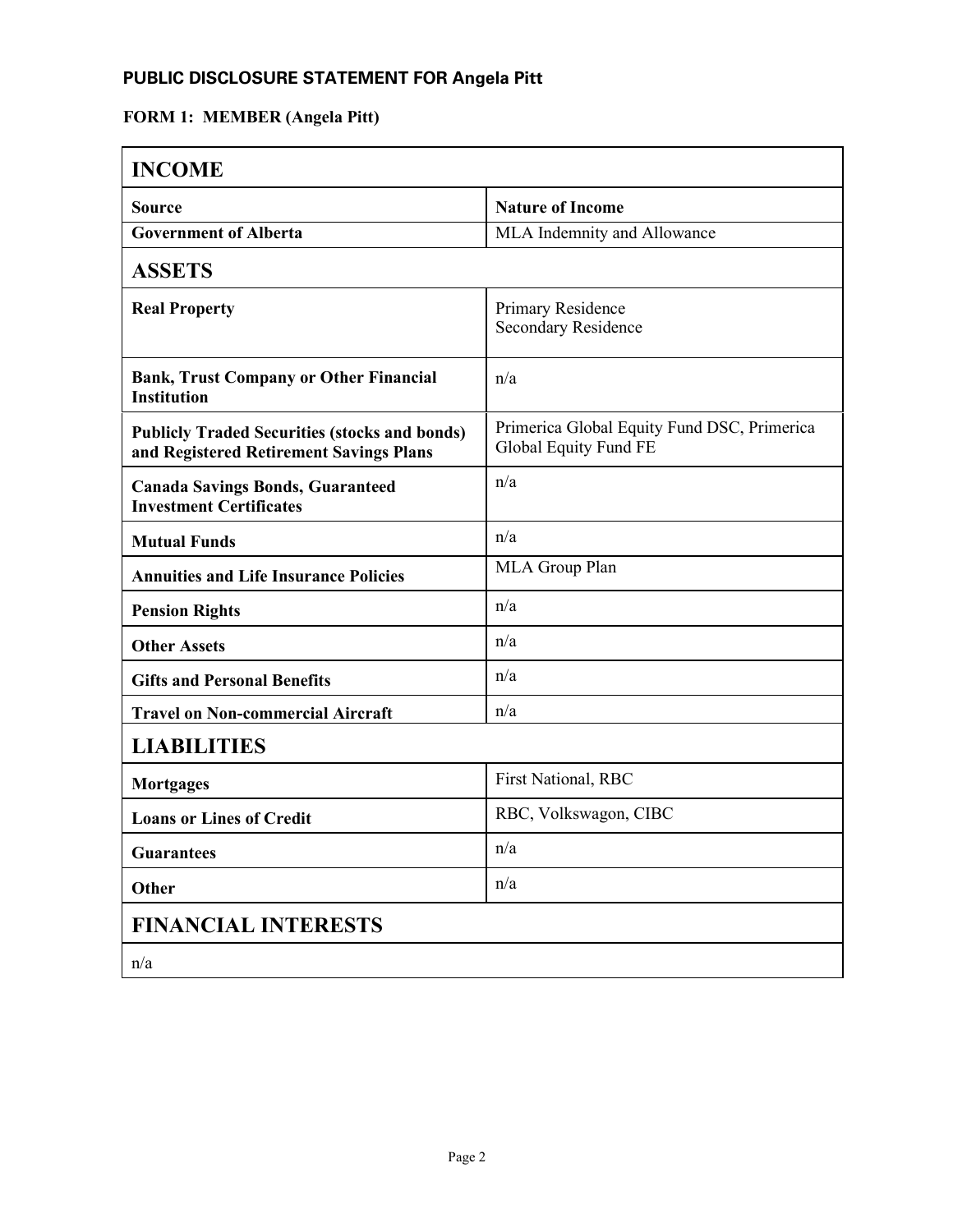# **FORM 1: MEMBER (Angela Pitt)**

| <b>INCOME</b>                                                                                   |                                                                      |  |
|-------------------------------------------------------------------------------------------------|----------------------------------------------------------------------|--|
| <b>Source</b>                                                                                   | <b>Nature of Income</b>                                              |  |
| <b>Government of Alberta</b>                                                                    | MLA Indemnity and Allowance                                          |  |
| <b>ASSETS</b>                                                                                   |                                                                      |  |
| <b>Real Property</b>                                                                            | Primary Residence<br><b>Secondary Residence</b>                      |  |
| <b>Bank, Trust Company or Other Financial</b><br><b>Institution</b>                             | n/a                                                                  |  |
| <b>Publicly Traded Securities (stocks and bonds)</b><br>and Registered Retirement Savings Plans | Primerica Global Equity Fund DSC, Primerica<br>Global Equity Fund FE |  |
| <b>Canada Savings Bonds, Guaranteed</b><br><b>Investment Certificates</b>                       | n/a                                                                  |  |
| <b>Mutual Funds</b>                                                                             | n/a                                                                  |  |
| <b>Annuities and Life Insurance Policies</b>                                                    | MLA Group Plan                                                       |  |
| <b>Pension Rights</b>                                                                           | n/a                                                                  |  |
| <b>Other Assets</b>                                                                             | n/a                                                                  |  |
| <b>Gifts and Personal Benefits</b>                                                              | n/a                                                                  |  |
| <b>Travel on Non-commercial Aircraft</b>                                                        | n/a                                                                  |  |
| <b>LIABILITIES</b>                                                                              |                                                                      |  |
| <b>Mortgages</b>                                                                                | First National, RBC                                                  |  |
| <b>Loans or Lines of Credit</b>                                                                 | RBC, Volkswagon, CIBC                                                |  |
| <b>Guarantees</b>                                                                               | n/a                                                                  |  |
| Other                                                                                           | n/a                                                                  |  |
| <b>FINANCIAL INTERESTS</b>                                                                      |                                                                      |  |
| n/a                                                                                             |                                                                      |  |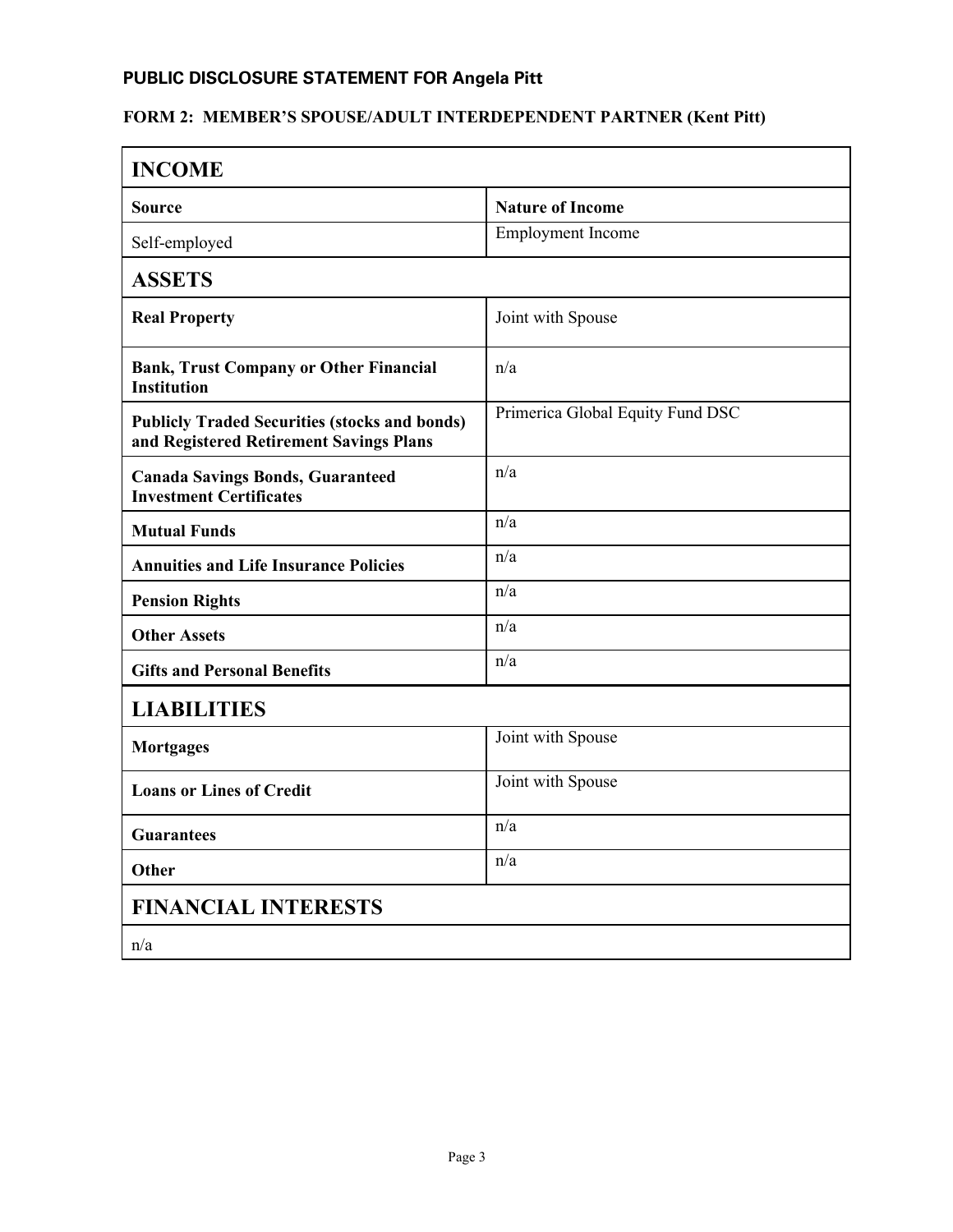### **FORM 2: MEMBER'S SPOUSE/ADULT INTERDEPENDENT PARTNER (Kent Pitt)**

| <b>INCOME</b>                                                                                   |                                  |  |
|-------------------------------------------------------------------------------------------------|----------------------------------|--|
| <b>Source</b>                                                                                   | <b>Nature of Income</b>          |  |
| Self-employed                                                                                   | Employment Income                |  |
| <b>ASSETS</b>                                                                                   |                                  |  |
| <b>Real Property</b>                                                                            | Joint with Spouse                |  |
| <b>Bank, Trust Company or Other Financial</b><br><b>Institution</b>                             | n/a                              |  |
| <b>Publicly Traded Securities (stocks and bonds)</b><br>and Registered Retirement Savings Plans | Primerica Global Equity Fund DSC |  |
| <b>Canada Savings Bonds, Guaranteed</b><br><b>Investment Certificates</b>                       | n/a                              |  |
| <b>Mutual Funds</b>                                                                             | n/a                              |  |
| <b>Annuities and Life Insurance Policies</b>                                                    | n/a                              |  |
| <b>Pension Rights</b>                                                                           | n/a                              |  |
| <b>Other Assets</b>                                                                             | n/a                              |  |
| <b>Gifts and Personal Benefits</b>                                                              | n/a                              |  |
| <b>LIABILITIES</b>                                                                              |                                  |  |
| <b>Mortgages</b>                                                                                | Joint with Spouse                |  |
| <b>Loans or Lines of Credit</b>                                                                 | Joint with Spouse                |  |
| <b>Guarantees</b>                                                                               | n/a                              |  |
| Other                                                                                           | n/a                              |  |
| <b>FINANCIAL INTERESTS</b>                                                                      |                                  |  |
| n/a                                                                                             |                                  |  |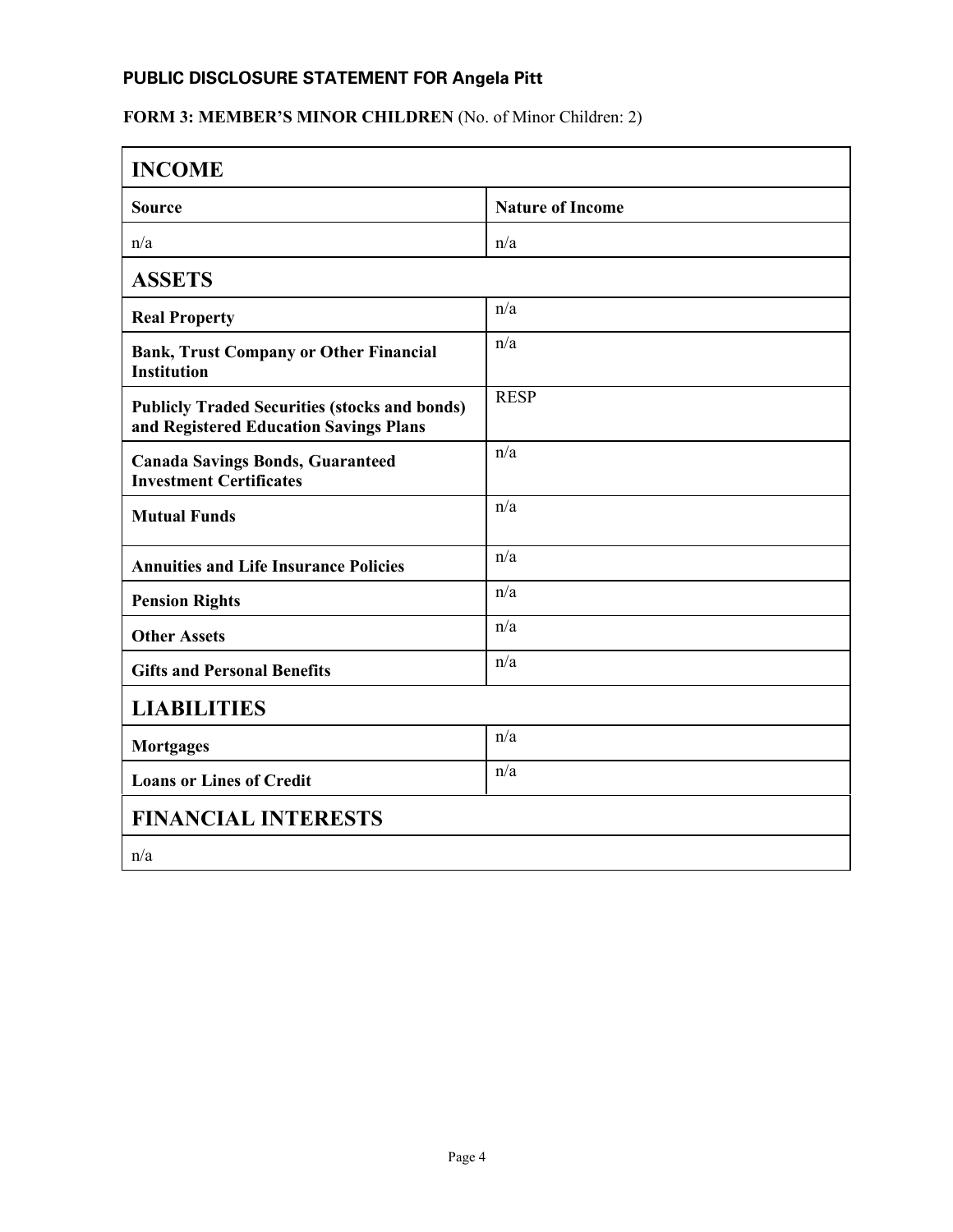### FORM 3: MEMBER'S MINOR CHILDREN (No. of Minor Children: 2)

| <b>INCOME</b>                                                                                  |                         |  |
|------------------------------------------------------------------------------------------------|-------------------------|--|
| <b>Source</b>                                                                                  | <b>Nature of Income</b> |  |
| n/a                                                                                            | n/a                     |  |
| <b>ASSETS</b>                                                                                  |                         |  |
| <b>Real Property</b>                                                                           | n/a                     |  |
| <b>Bank, Trust Company or Other Financial</b><br><b>Institution</b>                            | n/a                     |  |
| <b>Publicly Traded Securities (stocks and bonds)</b><br>and Registered Education Savings Plans | <b>RESP</b>             |  |
| <b>Canada Savings Bonds, Guaranteed</b><br><b>Investment Certificates</b>                      | n/a                     |  |
| <b>Mutual Funds</b>                                                                            | n/a                     |  |
| <b>Annuities and Life Insurance Policies</b>                                                   | n/a                     |  |
| <b>Pension Rights</b>                                                                          | n/a                     |  |
| <b>Other Assets</b>                                                                            | n/a                     |  |
| <b>Gifts and Personal Benefits</b>                                                             | n/a                     |  |
| <b>LIABILITIES</b>                                                                             |                         |  |
| <b>Mortgages</b>                                                                               | n/a                     |  |
| <b>Loans or Lines of Credit</b>                                                                | n/a                     |  |
| <b>FINANCIAL INTERESTS</b>                                                                     |                         |  |
| n/a                                                                                            |                         |  |